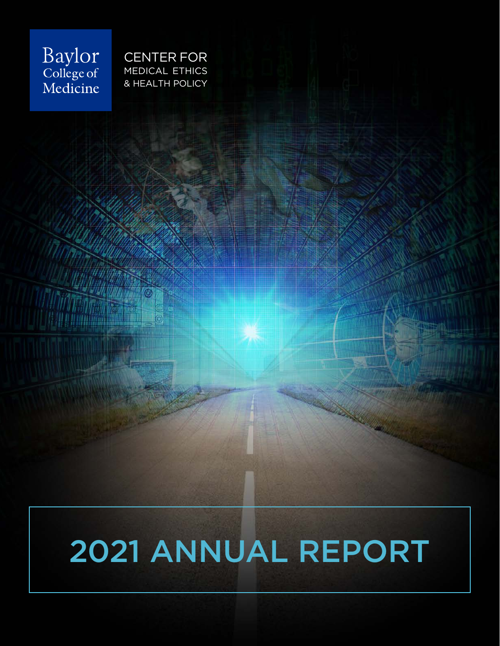Baylor<br>College of<br>Medicine

CENTER FOR MEDICAL ETHICS & HEALTH POLICY

# 2021 ANNUAL REPORT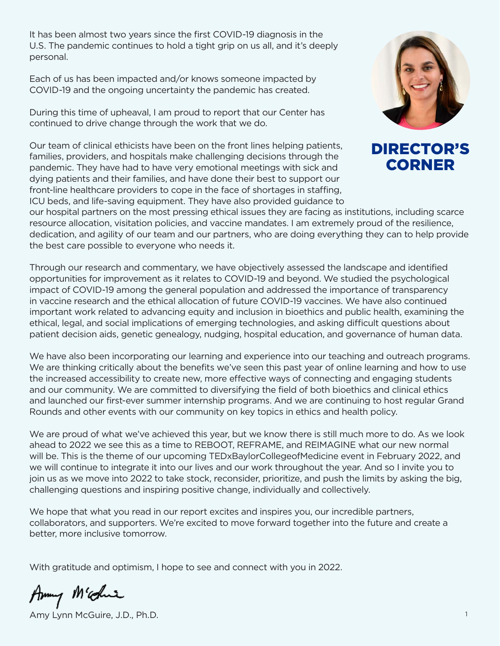It has been almost two years since the first COVID-19 diagnosis in the U.S. The pandemic continues to hold a tight grip on us all, and it's deeply personal.

Each of us has been impacted and/or knows someone impacted by COVID-19 and the ongoing uncertainty the pandemic has created.

During this time of upheaval, I am proud to report that our Center has continued to drive change through the work that we do.

Our team of clinical ethicists have been on the front lines helping patients, families, providers, and hospitals make challenging decisions through the pandemic. They have had to have very emotional meetings with sick and dying patients and their families, and have done their best to support our front-line healthcare providers to cope in the face of shortages in staffing, ICU beds, and life-saving equipment. They have also provided guidance to



# DIRECTOR'S CORNER

our hospital partners on the most pressing ethical issues they are facing as institutions, including scarce resource allocation, visitation policies, and vaccine mandates. I am extremely proud of the resilience, dedication, and agility of our team and our partners, who are doing everything they can to help provide the best care possible to everyone who needs it.

Through our research and commentary, we have objectively assessed the landscape and identified opportunities for improvement as it relates to COVID-19 and beyond. We studied the psychological impact of COVID-19 among the general population and addressed the importance of transparency in vaccine research and the ethical allocation of future COVID-19 vaccines. We have also continued important work related to advancing equity and inclusion in bioethics and public health, examining the ethical, legal, and social implications of emerging technologies, and asking difficult questions about patient decision aids, genetic genealogy, nudging, hospital education, and governance of human data.

We have also been incorporating our learning and experience into our teaching and outreach programs. We are thinking critically about the benefits we've seen this past year of online learning and how to use the increased accessibility to create new, more effective ways of connecting and engaging students and our community. We are committed to diversifying the field of both bioethics and clinical ethics and launched our first-ever summer internship programs. And we are continuing to host regular Grand Rounds and other events with our community on key topics in ethics and health policy.

We are proud of what we've achieved this year, but we know there is still much more to do. As we look ahead to 2022 we see this as a time to REBOOT, REFRAME, and REIMAGINE what our new normal will be. This is the theme of our upcoming TEDxBaylorCollegeofMedicine event in February 2022, and we will continue to integrate it into our lives and our work throughout the year. And so I invite you to join us as we move into 2022 to take stock, reconsider, prioritize, and push the limits by asking the big, challenging questions and inspiring positive change, individually and collectively.

We hope that what you read in our report excites and inspires you, our incredible partners, collaborators, and supporters. We're excited to move forward together into the future and create a better, more inclusive tomorrow.

With gratitude and optimism, I hope to see and connect with you in 2022.

Army M'educ

Amy Lynn McGuire, J.D., Ph.D.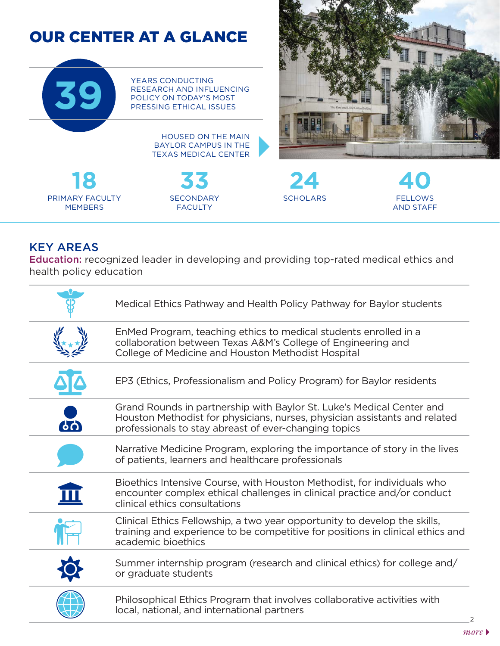

YEARS CONDUCTING<br>
RESEARCH AND INFLU<br>
POLICY ON TODAY'S N<br>
PRESSING ETHICAL IS RESEARCH AND INFLUENCING POLICY ON TODAY'S MOST PRESSING ETHICAL ISSUES

> HOUSED ON THE MAIN<br>AYLOR CAMPUS IN THE<br>XAS MEDICAL CENTER BAYLOR CAMPUS IN THE TEXAS MEDICAL CENTER

PRIMARY FACULTY MEMBERS





SCHOLARS FELLOWS

AND STAFF

## KEY AREAS

[Education:](https://www.bcm.edu/academic-centers/medical-ethics-and-health-policy/education) recognized leader in developing and providing top-rated medical ethics and health policy education

|                | Medical Ethics Pathway and Health Policy Pathway for Baylor students                                                                                                                                         |
|----------------|--------------------------------------------------------------------------------------------------------------------------------------------------------------------------------------------------------------|
|                | EnMed Program, teaching ethics to medical students enrolled in a<br>collaboration between Texas A&M's College of Engineering and<br>College of Medicine and Houston Methodist Hospital                       |
|                | EP3 (Ethics, Professionalism and Policy Program) for Baylor residents                                                                                                                                        |
| $\overline{d}$ | Grand Rounds in partnership with Baylor St. Luke's Medical Center and<br>Houston Methodist for physicians, nurses, physician assistants and related<br>professionals to stay abreast of ever-changing topics |
|                | Narrative Medicine Program, exploring the importance of story in the lives<br>of patients, learners and healthcare professionals                                                                             |
|                | Bioethics Intensive Course, with Houston Methodist, for individuals who<br>encounter complex ethical challenges in clinical practice and/or conduct<br>clinical ethics consultations                         |
|                | Clinical Ethics Fellowship, a two year opportunity to develop the skills,<br>training and experience to be competitive for positions in clinical ethics and<br>academic bioethics                            |
|                | Summer internship program (research and clinical ethics) for college and/<br>or graduate students                                                                                                            |
|                | Philosophical Ethics Program that involves collaborative activities with<br>local, national, and international partners                                                                                      |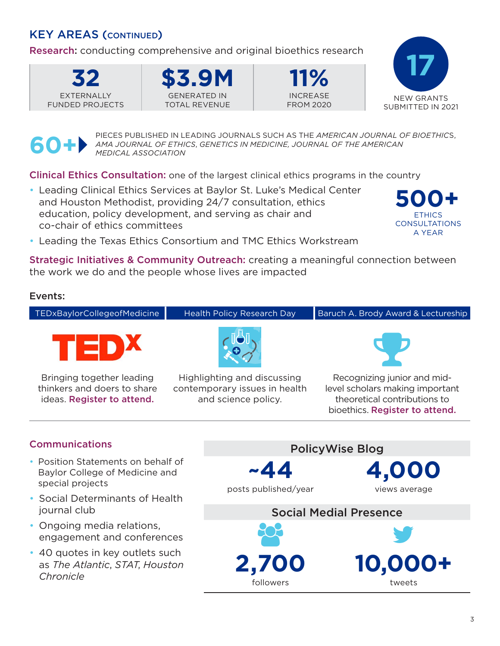# KEY AREAS (continued)

[Research](https://www.bcm.edu/academic-centers/medical-ethics-and-health-policy/research): conducting comprehensive and original bioethics research









PIECES PUBLISHED IN LEADING JOURNALS SUCH AS THE *AMERICAN JOURNAL OF BIOETHICS*,<br>*MEDICAL ASSOCIATION*<br>*MEDICAL ASSOCIATION AMA JOURNAL OF ETHICS*, *GENETICS IN MEDICINE, JOURNAL OF THE AMERICAN MEDICAL ASSOCIATION*

[Clinical Ethics Consultation](https://www.bcm.edu/academic-centers/medical-ethics-and-health-policy/clinical-ethics): one of the largest clinical ethics programs in the country

• Leading Clinical Ethics Services at Baylor St. Luke's Medical Center and Houston Methodist, providing 24/7 consultation, ethics education, policy development, and serving as chair and co-chair of ethics committees



• Leading the Texas Ethics Consortium and TMC Ethics Workstream

[Strategic Initiatives](https://www.bcm.edu/academic-centers/medical-ethics-and-health-policy/health-policy-program) & [Community Outreach](https://www.bcm.edu/academic-centers/medical-ethics-and-health-policy/community-events): creating a meaningful connection between the work we do and the people whose lives are impacted

#### Events:

| TEDxBaylorCollegeofMedicine                                                              |                             | <b>Health Policy Research Day</b>                                                   | Baruch A. Brody Award & Lectureship |                                                                                                                                  |
|------------------------------------------------------------------------------------------|-----------------------------|-------------------------------------------------------------------------------------|-------------------------------------|----------------------------------------------------------------------------------------------------------------------------------|
| <b>TED<sup>X</sup></b>                                                                   |                             |                                                                                     |                                     |                                                                                                                                  |
| Bringing together leading<br>thinkers and doers to share<br>ideas. Register to attend.   |                             | Highlighting and discussing<br>contemporary issues in health<br>and science policy. |                                     | Recognizing junior and mid-<br>level scholars making important<br>theoretical contributions to<br>bioethics. Register to attend. |
| <b>Communications</b>                                                                    |                             |                                                                                     | <b>PolicyWise Blog</b>              |                                                                                                                                  |
| • Position Statements on behalf of<br>Baylor College of Medicine and<br>special projects | ~44<br>posts published/year |                                                                                     | 4,000<br>views average              |                                                                                                                                  |
| • Social Determinants of Health<br>journal club                                          |                             |                                                                                     | <b>Social Medial Presence</b>       |                                                                                                                                  |

202

**2,700**

followers

- Ongoing media relations, engagement and conferences
- 40 quotes in key outlets such as *The Atlantic*, *STAT*, *Houston Chronicle*

V

**10,000+**

tweets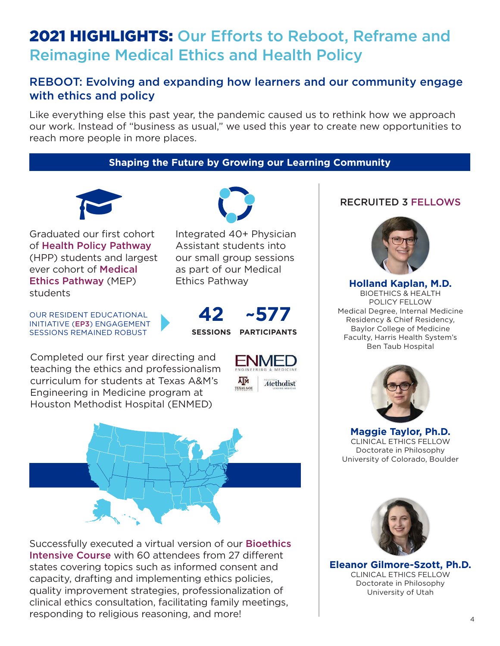# **2021 HIGHLIGHTS: Our Efforts to Reboot, Reframe and** Reimagine Medical Ethics and Health Policy

#### REBOOT: Evolving and expanding how learners and our community engage with ethics and policy

Like everything else this past year, the pandemic caused us to rethink how we approach our work. Instead of "business as usual," we used this year to create new opportunities to reach more people in more places.

#### **Shaping the Future by Growing our Learning Community**



Graduated our first cohort of [Health Policy Pathway](https://www.bcm.edu/academic-centers/medical-ethics-and-health-policy/education/health-policy-pathway) (HPP) students and largest ever cohort of [Medical](https://www.bcm.edu/academic-centers/medical-ethics-and-health-policy/education/medical-ethics-pathway)  [Ethics Pathway](https://www.bcm.edu/academic-centers/medical-ethics-and-health-policy/education/medical-ethics-pathway) (MEP) students

OUR RESIDENT EDUCATIONAL INITIATIVE ([EP3](https://www.bcm.edu/academic-centers/medical-ethics-and-health-policy/education/ethics-professionalism-and-policy-program)) ENGAGEMENT SESSIONS REMAINED ROBUST

Completed our first year directing and teaching the ethics and professionalism curriculum for students at Texas A&M's Engineering in Medicine program at Houston Methodist Hospital (ENMED)



Integrated 40+ Physician Assistant students into our small group sessions as part of our Medical Ethics Pathway



A<sup>M</sup>

TEXAS ANM



**Methodist** 



Successfully executed a virtual version of our **Bioethics** [Intensive Course](https://www.bcm.edu/academic-centers/medical-ethics-and-health-policy/education/bioethics-intensive-course) with 60 attendees from 27 different states covering topics such as informed consent and capacity, drafting and implementing ethics policies, quality improvement strategies, professionalization of clinical ethics consultation, facilitating family meetings, responding to religious reasoning, and more!  $\frac{1}{4}$ 

#### RECRUITED 3 [FELLOWS](https://www.bcm.edu/academic-centers/medical-ethics-and-health-policy/education/clinical-ethics-fellowship)



**Holland Kaplan, M.D.**  BIOETHICS & HEALTH POLICY FELLOW Medical Degree, Internal Medicine Residency & Chief Residency, Baylor College of Medicine Faculty, Harris Health System's Ben Taub Hospital



**Maggie Taylor, Ph.D.** CLINICAL ETHICS FELLOW Doctorate in Philosophy University of Colorado, Boulder



**Eleanor Gilmore-Szott, Ph.D.** CLINICAL ETHICS FELLOW Doctorate in Philosophy University of Utah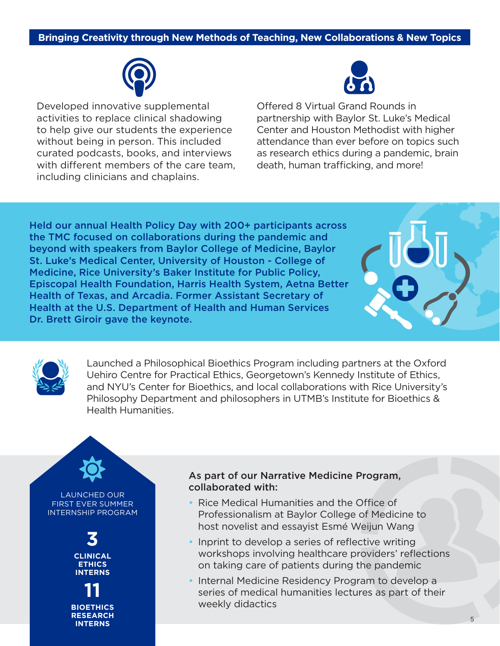#### **Bringing Creativity through New Methods of Teaching, New Collaborations & New Topics**



Developed innovative supplemental activities to replace clinical shadowing to help give our students the experience without being in person. This included curated podcasts, books, and interviews with different members of the care team, including clinicians and chaplains.



Offered 8 Virtual Grand Rounds in partnership with Baylor St. Luke's Medical Center and Houston Methodist with higher attendance than ever before on topics such as research ethics during a pandemic, brain death, human trafficking, and more!

Held our annual Health Policy Day with 200+ participants across the TMC focused on collaborations during the pandemic and beyond with speakers from Baylor College of Medicine, Baylor St. Luke's Medical Center, University of Houston - College of Medicine, Rice University's Baker Institute for Public Policy, Episcopal Health Foundation, Harris Health System, Aetna Better Health of Texas, and Arcadia. Former Assistant Secretary of Health at the U.S. Department of Health and Human Services Dr. Brett Giroir gave the keynote.





Launched a Philosophical Bioethics Program including partners at the Oxford<br>Uehiro Centre for Practical Ethics, Georgetown's Kennedy Institute of Ethics,<br>and NYU's Center for Bioethics, and local collaborations with Rice U Uehiro Centre for Practical Ethics, Georgetown's Kennedy Institute of Ethics, Philosophy Department and philosophers in UTMB's Institute for Bioethics & Health Humanities.



令



**RESEARCH INTERNS**

#### As part of our Narrative Medicine Program, collaborated with:

- Rice Medical Humanities and the Office of Professionalism at Baylor College of Medicine to host novelist and essayist Esmé Weijun Wang
- Inprint to develop a series of reflective writing workshops involving healthcare providers' reflections on taking care of patients during the pandemic
- Internal Medicine Residency Program to develop a series of medical humanities lectures as part of their weekly didactics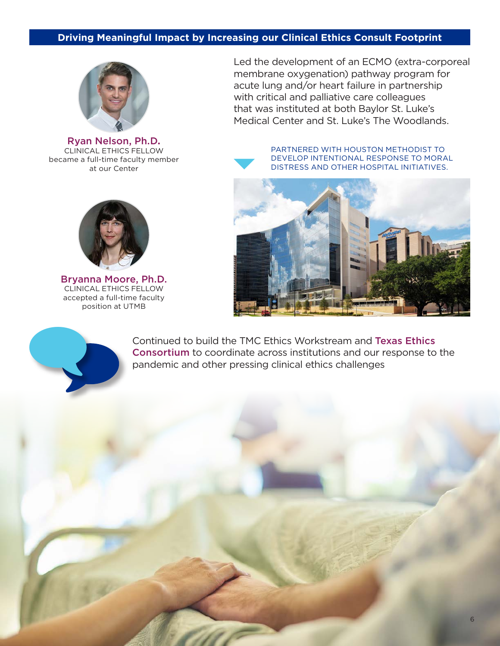#### **Driving Meaningful Impact by Increasing our Clinical Ethics Consult Footprint**



[Ryan Nelson, Ph.D](https://www.bcm.edu/people-search/ryan-nelson-27342)**.** CLINICAL ETHICS FELLOW became a full-time faculty member at our Center

Led the development of an ECMO (extra-corporeal membrane oxygenation) pathway program for acute lung and/or heart failure in partnership with critical and palliative care colleagues that was instituted at both Baylor St. Luke's Medical Center and St. Luke's The Woodlands.

PARTNERED WITH HOUSTON METHODIST TO DEVELOP INTENTIONAL RESPONSE TO MORAL DISTRESS AND OTHER HOSPITAL INITIATIVES.





[Bryanna Moore, Ph.D.](https://www.utmb.edu/ibhh/people/biographies/bryanna-moore-phd) CLINICAL ETHICS FELLOW accepted a full-time faculty position at UTMB



Continued to build the TMC Ethics Workstream and [Texas Ethics](https://www.bcm.edu/academic-centers/medical-ethics-and-health-policy/clinical-ethics/texas-ethics-consortium-tec)  [Consortium](https://www.bcm.edu/academic-centers/medical-ethics-and-health-policy/clinical-ethics/texas-ethics-consortium-tec) to coordinate across institutions and our response to the pandemic and other pressing clinical ethics challenges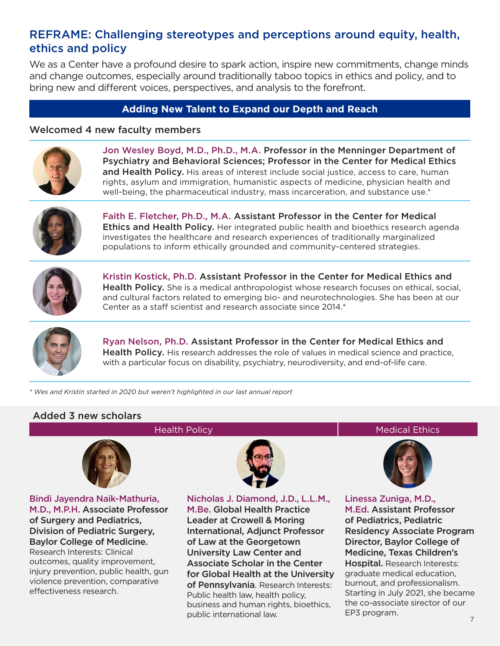## REFRAME: Challenging stereotypes and perceptions around equity, health, ethics and policy

We as a Center have a profound desire to spark action, inspire new commitments, change minds and change outcomes, especially around traditionally taboo topics in ethics and policy, and to bring new and different voices, perspectives, and analysis to the forefront.

#### **Adding New Talent to Expand our Depth and Reach**

#### Welcomed 4 new faculty members



[Jon Wesley Boyd, M.D., Ph.D., M.A.](https://www.bcm.edu/people-search/wesley-boyd-65626) Professor in the Menninger Department of Psychiatry and Behavioral Sciences; Professor in the Center for Medical Ethics and Health Policy. His areas of interest include social justice, access to care, human rights, asylum and immigration, humanistic aspects of medicine, physician health and well-being, the pharmaceutical industry, mass incarceration, and substance use.\*



[Faith E. Fletcher, Ph.D., M.A.](https://www.bcm.edu/people-search/faith-fletcher-72936) Assistant Professor in the Center for Medical Ethics and Health Policy. Her integrated public health and bioethics research agenda investigates the healthcare and research experiences of traditionally marginalized populations to inform ethically grounded and community-centered strategies.



[Kristin Kostick, Ph.D.](https://www.bcm.edu/people-search/kristin-kostick-24904) Assistant Professor in the Center for Medical Ethics and Health Policy. She is a medical anthropologist whose research focuses on ethical, social, and cultural factors related to emerging bio- and neurotechnologies. She has been at our Center as a staff scientist and research associate since 2014.\*



[Ryan Nelson, Ph.D.](https://www.bcm.edu/people-search/ryan-nelson-27342) Assistant Professor in the Center for Medical Ethics and Health Policy. His research addresses the role of values in medical science and practice, with a particular focus on disability, psychiatry, neurodiversity, and end-of-life care.

*\* Wes and Kristin started in 2020 but weren't highlighted in our last annual report*

#### Added 3 new scholars



[Bindi Jayendra Naik-Mathuria,](https://www.bcm.edu/people-search/bindi-naik-mathuria-27417)  [M.D., M.P.H.](https://www.bcm.edu/people-search/bindi-naik-mathuria-27417) Associate Professor of Surgery and Pediatrics, Division of Pediatric Surgery, Baylor College of Medicine. Research Interests: Clinical outcomes, quality improvement, injury prevention, public health, gun violence prevention, comparative effectiveness research.



[Nicholas J. Diamond, J.D., L.L.M.,](https://www.crowell.com/professionals/Nicholas-Diamond)  [M.Be.](https://www.crowell.com/professionals/Nicholas-Diamond) Global Health Practice Leader at Crowell & Moring International, Adjunct Professor of Law at the Georgetown University Law Center and Associate Scholar in the Center for Global Health at the University of Pennsylvania. Research Interests: Public health law, health policy, business and human rights, bioethics, public international law.

#### Health Policy **Medical Ethics** Medical Ethics



[Linessa Zuniga, M.D.,](https://www.bcm.edu/people-search/linessa-zuniga-33780)  [M.Ed](https://www.bcm.edu/people-search/linessa-zuniga-33780). Assistant Professor of Pediatrics, Pediatric Residency Associate Program Director, Baylor College of Medicine, Texas Children's Hospital. Research Interests: graduate medical education, burnout, and professionalism. Starting in July 2021, she became the co-associate sirector of our EP3 program.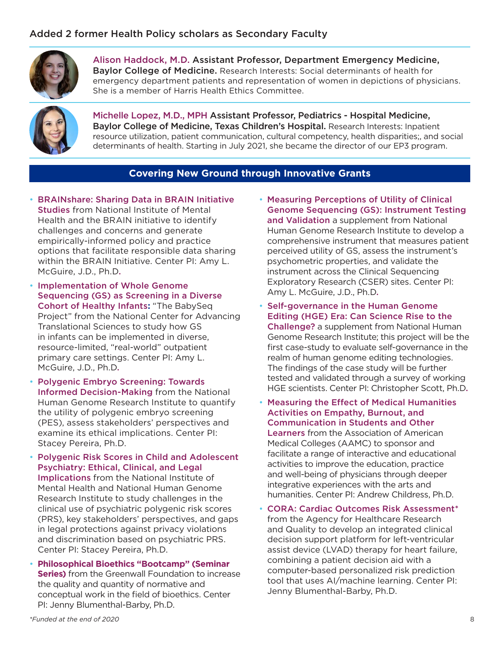#### Added 2 former Health Policy scholars as Secondary Faculty



[Alison Haddock, M.D.](https://www.bcm.edu/people-search/alison-haddock-22566) Assistant Professor, Department Emergency Medicine, Baylor College of Medicine. Research Interests: Social determinants of health for emergency department patients and representation of women in depictions of physicians. She is a member of Harris Health Ethics Committee.



[Michelle Lopez, M.D., MPH](https://www.bcm.edu/people-search/michelle-lopez-25652) Assistant Professor, Pediatrics - Hospital Medicine, Baylor College of Medicine, Texas Children's Hospital. Research Interests: Inpatient resource utilization, patient communication, cultural competency, health disparities;, and social determinants of health. Starting in July 2021, she became the director of our EP3 program.

#### **Covering New Ground through Innovative Grants**

- [BRAINshare: Sharing Data in BRAIN Initiative](https://www.bcm.edu/academic-centers/medical-ethics-and-health-policy/research/neuroethics/brainshare)  [Studies](https://www.bcm.edu/academic-centers/medical-ethics-and-health-policy/research/neuroethics/brainshare) from National Institute of Mental Health and the BRAIN initiative to identify challenges and concerns and generate empirically-informed policy and practice options that facilitate responsible data sharing within the BRAIN Initiative. Center PI: Amy L. McGuire, J.D., Ph.D[.](https://www.bcm.edu/academic-centers/medical-ethics-and-health-policy/research/ethical-legal-and-social-implications-elsi-genetics-genomics/babyseq-project-implementation-of-whole-genome-sequencing)
- [Implementation of Whole Genome](https://www.bcm.edu/academic-centers/medical-ethics-and-health-policy/research/ethical-legal-and-social-implications-elsi-genetics-genomics/babyseq-project-implementation-of-whole-genome-sequencing)  [Sequencing \(GS\) as Screening in a Diverse](https://www.bcm.edu/academic-centers/medical-ethics-and-health-policy/research/ethical-legal-and-social-implications-elsi-genetics-genomics/babyseq-project-implementation-of-whole-genome-sequencing)  [Cohort of Healthy Infants](https://www.bcm.edu/academic-centers/medical-ethics-and-health-policy/research/ethical-legal-and-social-implications-elsi-genetics-genomics/babyseq-project-implementation-of-whole-genome-sequencing)**:** "The BabySeq Project" from the National Center for Advancing Translational Sciences to study how GS in infants can be implemented in diverse, resource-limited, "real-world" outpatient primary care settings. Center PI: Amy L. McGuire, J.D., Ph.D[.](https://www.bcm.edu/academic-centers/medical-ethics-and-health-policy/research/ethical-legal-and-social-implications-elsi-genetics-genomics/polygenic-embryo-screening)
- [Polygenic Embryo Screening: Towards](https://www.bcm.edu/academic-centers/medical-ethics-and-health-policy/research/ethical-legal-and-social-implications-elsi-genetics-genomics/polygenic-embryo-screening)  [Informed Decision-Making](https://www.bcm.edu/academic-centers/medical-ethics-and-health-policy/research/ethical-legal-and-social-implications-elsi-genetics-genomics/polygenic-embryo-screening) from the National Human Genome Research Institute to quantify the utility of polygenic embryo screening (PES), assess stakeholders' perspectives and examine its ethical implications. Center PI: Stacey Pereira, Ph.D.
- [Polygenic Risk Scores in Child and Adolescent](https://www.bcm.edu/academic-centers/medical-ethics-and-health-policy/research/ethical-legal-and-social-implications-elsi-genetics-genomics/polygenic-risk-scores-in-child-and-adolescent-psychiatry)  [Psychiatry: Ethical, Clinical, and Legal](https://www.bcm.edu/academic-centers/medical-ethics-and-health-policy/research/ethical-legal-and-social-implications-elsi-genetics-genomics/polygenic-risk-scores-in-child-and-adolescent-psychiatry)  [Implications](https://www.bcm.edu/academic-centers/medical-ethics-and-health-policy/research/ethical-legal-and-social-implications-elsi-genetics-genomics/polygenic-risk-scores-in-child-and-adolescent-psychiatry) from the National Institute of Mental Health and National Human Genome Research Institute to study challenges in the clinical use of psychiatric polygenic risk scores (PRS), key stakeholders' perspectives, and gaps in legal protections against privacy violations and discrimination based on psychiatric PRS. Center PI: Stacey Pereira, Ph.D.
- **Philosophical Bioethics "Bootcamp" (Seminar Series)** from the Greenwall Foundation to increase the quality and quantity of normative and conceptual work in the field of bioethics. Center PI: Jenny Blumenthal-Barby, Ph.D.
- [Measuring Perceptions of Utility of Clinical](https://www.bcm.edu/academic-centers/medical-ethics-and-health-policy/research/ethical-legal-and-social-implications-elsi-genetics-genomics/texas-kidscanseq)  [Genome Sequencing \(GS\): Instrument Testing](https://www.bcm.edu/academic-centers/medical-ethics-and-health-policy/research/ethical-legal-and-social-implications-elsi-genetics-genomics/texas-kidscanseq)  [and Validation](https://www.bcm.edu/academic-centers/medical-ethics-and-health-policy/research/ethical-legal-and-social-implications-elsi-genetics-genomics/texas-kidscanseq) a supplement from National Human Genome Research Institute to develop a comprehensive instrument that measures patient perceived utility of GS, assess the instrument's psychometric properties, and validate the instrument across the Clinical Sequencing Exploratory Research (CSER) sites. Center PI: Amy L. McGuire, J.D., Ph.D[.](https://www.bcm.edu/academic-centers/medical-ethics-and-health-policy/research/ethical-legal-and-social-implications-elsi-genetics-genomics/self-governance-in-the-human-genome-editing-era)
- [Self-governance in the Human Genome](https://www.bcm.edu/academic-centers/medical-ethics-and-health-policy/research/ethical-legal-and-social-implications-elsi-genetics-genomics/self-governance-in-the-human-genome-editing-era)  [Editing \(HGE\) Era: Can Science Rise to the](https://www.bcm.edu/academic-centers/medical-ethics-and-health-policy/research/ethical-legal-and-social-implications-elsi-genetics-genomics/self-governance-in-the-human-genome-editing-era)  [Challenge?](https://www.bcm.edu/academic-centers/medical-ethics-and-health-policy/research/ethical-legal-and-social-implications-elsi-genetics-genomics/self-governance-in-the-human-genome-editing-era) a supplement from National Human Genome Research Institute; this project will be the first case-study to evaluate self-governance in the realm of human genome editing technologies. The findings of the case study will be further tested and validated through a survey of working HGE scientists. Center PI: Christopher Scott, Ph.D[.](https://www.bcm.edu/academic-centers/medical-ethics-and-health-policy/community-events/narrative-medicine)
- [Measuring the Effect of Medical Humanities](https://www.bcm.edu/academic-centers/medical-ethics-and-health-policy/community-events/narrative-medicine)  [Activities on Empathy, Burnout, and](https://www.bcm.edu/academic-centers/medical-ethics-and-health-policy/community-events/narrative-medicine)  [Communication in Students and Other](https://www.bcm.edu/academic-centers/medical-ethics-and-health-policy/community-events/narrative-medicine)  [Learners](https://www.bcm.edu/academic-centers/medical-ethics-and-health-policy/community-events/narrative-medicine) from the Association of American Medical Colleges (AAMC) to sponsor and facilitate a range of interactive and educational activities to improve the education, practice and well-being of physicians through deeper integrative experiences with the arts and humanities. Center PI: Andrew Childress, Ph.D.
- [CORA: Cardiac Outcomes Risk Assessment\\*](https://www.bcm.edu/academic-centers/medical-ethics-and-health-policy/research/decision-making/a-multi-site-trial-to-test-benefits-of-adding-a-personalized-risk-calculator)  from the Agency for Healthcare Research and Quality to develop an integrated clinical decision support platform for left-ventricular assist device (LVAD) therapy for heart failure, combining a patient decision aid with a computer-based personalized risk prediction tool that uses AI/machine learning. Center PI: Jenny Blumenthal-Barby, Ph.D.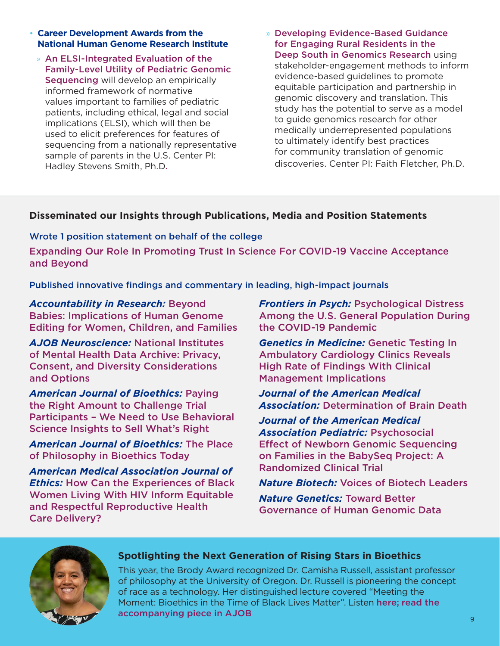#### • **Career Development Awards from the National Human Genome Research Institute**

- » [An ELSI-Integrated Evaluation of the](https://www.bcm.edu/academic-centers/medical-ethics-and-health-policy/research/ethical-legal-and-social-implications-elsi-genetics-genomics/elsi-integrated-evaluation-of-the-family-level-utility-of-pediatric-genomic-sequencing)  [Family-Level Utility of Pediatric Genomic](https://www.bcm.edu/academic-centers/medical-ethics-and-health-policy/research/ethical-legal-and-social-implications-elsi-genetics-genomics/elsi-integrated-evaluation-of-the-family-level-utility-of-pediatric-genomic-sequencing)  [Sequencing](https://www.bcm.edu/academic-centers/medical-ethics-and-health-policy/research/ethical-legal-and-social-implications-elsi-genetics-genomics/elsi-integrated-evaluation-of-the-family-level-utility-of-pediatric-genomic-sequencing) will develop an empirically informed framework of normative values important to families of pediatric patients, including ethical, legal and social implications (ELSI), which will then be used to elicit preferences for features of sequencing from a nationally representative sample of parents in the U.S. Center PI: Hadley Stevens Smith, Ph.D[.](https://www.bcm.edu/academic-centers/medical-ethics-and-health-policy/research/ethical-legal-and-social-implications-elsi-genetics-genomics/developing-evidence-based-guidance-for-engaging-rural-residents-in-the-deep-south-in-genomics-research)
- » [Developing Evidence-Based Guidance](https://www.bcm.edu/academic-centers/medical-ethics-and-health-policy/research/ethical-legal-and-social-implications-elsi-genetics-genomics/developing-evidence-based-guidance-for-engaging-rural-residents-in-the-deep-south-in-genomics-research)  [for Engaging Rural Residents in the](https://www.bcm.edu/academic-centers/medical-ethics-and-health-policy/research/ethical-legal-and-social-implications-elsi-genetics-genomics/developing-evidence-based-guidance-for-engaging-rural-residents-in-the-deep-south-in-genomics-research)  [Deep South in Genomics Research](https://www.bcm.edu/academic-centers/medical-ethics-and-health-policy/research/ethical-legal-and-social-implications-elsi-genetics-genomics/developing-evidence-based-guidance-for-engaging-rural-residents-in-the-deep-south-in-genomics-research) using stakeholder-engagement methods to inform evidence-based guidelines to promote equitable participation and partnership in genomic discovery and translation. This study has the potential to serve as a model to guide genomics research for other medically underrepresented populations to ultimately identify best practices for community translation of genomic discoveries. Center PI: Faith Fletcher, Ph.D.

#### **Disseminated our Insights through Publications, Media and Position Statements**

Wrote 1 position statement on behalf of the college

[Expanding Our Role In Promoting Trust In Science For COVID-19 Vaccine Acceptance](https://www.bcm.edu/node/139166)  [and Beyond](https://www.bcm.edu/node/139166)

Published innovative findings and commentary in leading, high-impact journals

*Accountability in Research:* [Beyond](https://www.tandfonline.com/doi/abs/10.1080/08989621.2021.1899824?journalCode=gacr20)  [Babies: Implications of Human Genome](https://www.tandfonline.com/doi/abs/10.1080/08989621.2021.1899824?journalCode=gacr20)  [Editing for Women, Children, and Families](https://www.tandfonline.com/doi/abs/10.1080/08989621.2021.1899824?journalCode=gacr20)

*AJOB Neuroscience:* [National Institutes](https://urldefense.proofpoint.com/v2/url?u=https-3A__www.tandfonline.com_doi_abs_10.1080_21507740.2021.1904025-3FjournalCode-3Duabn20&d=DwMFaQ&c=ZQs-KZ8oxEw0p81sqgiaRA&r=t0_2-521QGSP6LhUwXB0tAyGpHXmKop6CCztIpjqGAc&m=vENLLnQDf06adxuR4YfUetPaZSjJnnXHshYt76SHEOk&s=46oYXSyvkjXqHUL0emUBIZcvGVF-2HLOYwqmiRl-8aU&e=)  [of Mental Health Data Archive: Privacy,](https://urldefense.proofpoint.com/v2/url?u=https-3A__www.tandfonline.com_doi_abs_10.1080_21507740.2021.1904025-3FjournalCode-3Duabn20&d=DwMFaQ&c=ZQs-KZ8oxEw0p81sqgiaRA&r=t0_2-521QGSP6LhUwXB0tAyGpHXmKop6CCztIpjqGAc&m=vENLLnQDf06adxuR4YfUetPaZSjJnnXHshYt76SHEOk&s=46oYXSyvkjXqHUL0emUBIZcvGVF-2HLOYwqmiRl-8aU&e=)  [Consent, and Diversity Considerations](https://urldefense.proofpoint.com/v2/url?u=https-3A__www.tandfonline.com_doi_abs_10.1080_21507740.2021.1904025-3FjournalCode-3Duabn20&d=DwMFaQ&c=ZQs-KZ8oxEw0p81sqgiaRA&r=t0_2-521QGSP6LhUwXB0tAyGpHXmKop6CCztIpjqGAc&m=vENLLnQDf06adxuR4YfUetPaZSjJnnXHshYt76SHEOk&s=46oYXSyvkjXqHUL0emUBIZcvGVF-2HLOYwqmiRl-8aU&e=)  [and Options](https://urldefense.proofpoint.com/v2/url?u=https-3A__www.tandfonline.com_doi_abs_10.1080_21507740.2021.1904025-3FjournalCode-3Duabn20&d=DwMFaQ&c=ZQs-KZ8oxEw0p81sqgiaRA&r=t0_2-521QGSP6LhUwXB0tAyGpHXmKop6CCztIpjqGAc&m=vENLLnQDf06adxuR4YfUetPaZSjJnnXHshYt76SHEOk&s=46oYXSyvkjXqHUL0emUBIZcvGVF-2HLOYwqmiRl-8aU&e=) 

*American Journal of Bioethics:* [Paying](https://urldefense.proofpoint.com/v2/url?u=https-3A__www.tandfonline.com_doi_abs_10.1080_15265161.2020.1870774-3FjournalCode-3Duajb20-23.YDPe6Fxo1Rw.twitter&d=DwMFaQ&c=ZQs-KZ8oxEw0p81sqgiaRA&r=t0_2-521QGSP6LhUwXB0tAyGpHXmKop6CCztIpjqGAc&m=CngZuS2wmgVINdP0fxoGN7509_tEfwUoyTzaeq_XOgo&s=aGkrKW20OW3yCc7bVdBtr-M6BuxWPE4c2N0f6KTmUW4&e=)  [the Right Amount to Challenge Trial](https://urldefense.proofpoint.com/v2/url?u=https-3A__www.tandfonline.com_doi_abs_10.1080_15265161.2020.1870774-3FjournalCode-3Duajb20-23.YDPe6Fxo1Rw.twitter&d=DwMFaQ&c=ZQs-KZ8oxEw0p81sqgiaRA&r=t0_2-521QGSP6LhUwXB0tAyGpHXmKop6CCztIpjqGAc&m=CngZuS2wmgVINdP0fxoGN7509_tEfwUoyTzaeq_XOgo&s=aGkrKW20OW3yCc7bVdBtr-M6BuxWPE4c2N0f6KTmUW4&e=)  [Participants – We Need to Use Behavioral](https://urldefense.proofpoint.com/v2/url?u=https-3A__www.tandfonline.com_doi_abs_10.1080_15265161.2020.1870774-3FjournalCode-3Duajb20-23.YDPe6Fxo1Rw.twitter&d=DwMFaQ&c=ZQs-KZ8oxEw0p81sqgiaRA&r=t0_2-521QGSP6LhUwXB0tAyGpHXmKop6CCztIpjqGAc&m=CngZuS2wmgVINdP0fxoGN7509_tEfwUoyTzaeq_XOgo&s=aGkrKW20OW3yCc7bVdBtr-M6BuxWPE4c2N0f6KTmUW4&e=)  [Science Insights to Sell What's Right](https://urldefense.proofpoint.com/v2/url?u=https-3A__www.tandfonline.com_doi_abs_10.1080_15265161.2020.1870774-3FjournalCode-3Duajb20-23.YDPe6Fxo1Rw.twitter&d=DwMFaQ&c=ZQs-KZ8oxEw0p81sqgiaRA&r=t0_2-521QGSP6LhUwXB0tAyGpHXmKop6CCztIpjqGAc&m=CngZuS2wmgVINdP0fxoGN7509_tEfwUoyTzaeq_XOgo&s=aGkrKW20OW3yCc7bVdBtr-M6BuxWPE4c2N0f6KTmUW4&e=)

*American Journal of Bioethics:* [The Place](https://urldefense.proofpoint.com/v2/url?u=https-3A__www.tandfonline.com_doi_abs_10.1080_15265161.2021.1940355-3FjournalCode-3Duajb20-23.YNzjDkuML8c.twitter&d=DwMFaQ&c=ZQs-KZ8oxEw0p81sqgiaRA&r=t0_2-521QGSP6LhUwXB0tAyGpHXmKop6CCztIpjqGAc&m=pZvuCUP2OHnExaVrHowZMHVEuuE75l36Yn0VBWjqUhM&s=gUrBkVL5y1nynA5MNqe04_7XMD0MecD15-qCDosK5yg&e=)  [of Philosophy in Bioethics Today](https://urldefense.proofpoint.com/v2/url?u=https-3A__www.tandfonline.com_doi_abs_10.1080_15265161.2021.1940355-3FjournalCode-3Duajb20-23.YNzjDkuML8c.twitter&d=DwMFaQ&c=ZQs-KZ8oxEw0p81sqgiaRA&r=t0_2-521QGSP6LhUwXB0tAyGpHXmKop6CCztIpjqGAc&m=pZvuCUP2OHnExaVrHowZMHVEuuE75l36Yn0VBWjqUhM&s=gUrBkVL5y1nynA5MNqe04_7XMD0MecD15-qCDosK5yg&e=)

*American Medical Association Journal of Ethics:* [How Can the Experiences of Black](https://urldefense.proofpoint.com/v2/url?u=https-3A__journalofethics.ama-2Dassn.org_article_how-2Dcan-2Dexperiences-2Dblack-2Dwomen-2Dliving-2Dhiv-2Dinform-2Dequitable-2Dand-2Drespectful-2Dreproductive-2Dhealth-2Dcare_2021-2D02&d=DwMFaQ&c=ZQs-KZ8oxEw0p81sqgiaRA&r=t0_2-521QGSP6LhUwXB0tAyGpHXmKop6CCztIpjqGAc&m=vENLLnQDf06adxuR4YfUetPaZSjJnnXHshYt76SHEOk&s=ySYv8j0KBPJhVzG5fFRtwquPXxdgp1qBr8LaMi-gESk&e=)  [Women Living With HIV Inform Equitable](https://urldefense.proofpoint.com/v2/url?u=https-3A__journalofethics.ama-2Dassn.org_article_how-2Dcan-2Dexperiences-2Dblack-2Dwomen-2Dliving-2Dhiv-2Dinform-2Dequitable-2Dand-2Drespectful-2Dreproductive-2Dhealth-2Dcare_2021-2D02&d=DwMFaQ&c=ZQs-KZ8oxEw0p81sqgiaRA&r=t0_2-521QGSP6LhUwXB0tAyGpHXmKop6CCztIpjqGAc&m=vENLLnQDf06adxuR4YfUetPaZSjJnnXHshYt76SHEOk&s=ySYv8j0KBPJhVzG5fFRtwquPXxdgp1qBr8LaMi-gESk&e=)  [and Respectful Reproductive Health](https://urldefense.proofpoint.com/v2/url?u=https-3A__journalofethics.ama-2Dassn.org_article_how-2Dcan-2Dexperiences-2Dblack-2Dwomen-2Dliving-2Dhiv-2Dinform-2Dequitable-2Dand-2Drespectful-2Dreproductive-2Dhealth-2Dcare_2021-2D02&d=DwMFaQ&c=ZQs-KZ8oxEw0p81sqgiaRA&r=t0_2-521QGSP6LhUwXB0tAyGpHXmKop6CCztIpjqGAc&m=vENLLnQDf06adxuR4YfUetPaZSjJnnXHshYt76SHEOk&s=ySYv8j0KBPJhVzG5fFRtwquPXxdgp1qBr8LaMi-gESk&e=)  [Care Delivery?](https://urldefense.proofpoint.com/v2/url?u=https-3A__journalofethics.ama-2Dassn.org_article_how-2Dcan-2Dexperiences-2Dblack-2Dwomen-2Dliving-2Dhiv-2Dinform-2Dequitable-2Dand-2Drespectful-2Dreproductive-2Dhealth-2Dcare_2021-2D02&d=DwMFaQ&c=ZQs-KZ8oxEw0p81sqgiaRA&r=t0_2-521QGSP6LhUwXB0tAyGpHXmKop6CCztIpjqGAc&m=vENLLnQDf06adxuR4YfUetPaZSjJnnXHshYt76SHEOk&s=ySYv8j0KBPJhVzG5fFRtwquPXxdgp1qBr8LaMi-gESk&e=)

*Frontiers in Psych:* [Psychological Distress](https://urldefense.proofpoint.com/v2/url?u=https-3A__www.frontiersin.org_articles_10.3389_fpsyt.2021.642918_full&d=DwMFaQ&c=ZQs-KZ8oxEw0p81sqgiaRA&r=t0_2-521QGSP6LhUwXB0tAyGpHXmKop6CCztIpjqGAc&m=pZvuCUP2OHnExaVrHowZMHVEuuE75l36Yn0VBWjqUhM&s=3odqY1vfaNa6rwq9dyVDhSKh0SwbyzuGhRoH-gV4CsU&e=)  [Among the U.S. General Population During](https://urldefense.proofpoint.com/v2/url?u=https-3A__www.frontiersin.org_articles_10.3389_fpsyt.2021.642918_full&d=DwMFaQ&c=ZQs-KZ8oxEw0p81sqgiaRA&r=t0_2-521QGSP6LhUwXB0tAyGpHXmKop6CCztIpjqGAc&m=pZvuCUP2OHnExaVrHowZMHVEuuE75l36Yn0VBWjqUhM&s=3odqY1vfaNa6rwq9dyVDhSKh0SwbyzuGhRoH-gV4CsU&e=)  [the COVID-19 Pandemic](https://urldefense.proofpoint.com/v2/url?u=https-3A__www.frontiersin.org_articles_10.3389_fpsyt.2021.642918_full&d=DwMFaQ&c=ZQs-KZ8oxEw0p81sqgiaRA&r=t0_2-521QGSP6LhUwXB0tAyGpHXmKop6CCztIpjqGAc&m=pZvuCUP2OHnExaVrHowZMHVEuuE75l36Yn0VBWjqUhM&s=3odqY1vfaNa6rwq9dyVDhSKh0SwbyzuGhRoH-gV4CsU&e=)

*Genetics in Medicine:* [Genetic Testing In](https://urldefense.proofpoint.com/v2/url?u=https-3A__www.nature.com_articles_s41436-2D021-2D01294-2D8&d=DwMFaQ&c=ZQs-KZ8oxEw0p81sqgiaRA&r=t0_2-521QGSP6LhUwXB0tAyGpHXmKop6CCztIpjqGAc&m=zTrl2f19x1d5glCUhFtB7th6tsegsBTolllUddcIcqw&s=j4nZGDFXIhqsOKxMH4Sajd5NOtcV_Mz19EPdOihd_1I&e=)  [Ambulatory Cardiology Clinics Reveals](https://urldefense.proofpoint.com/v2/url?u=https-3A__www.nature.com_articles_s41436-2D021-2D01294-2D8&d=DwMFaQ&c=ZQs-KZ8oxEw0p81sqgiaRA&r=t0_2-521QGSP6LhUwXB0tAyGpHXmKop6CCztIpjqGAc&m=zTrl2f19x1d5glCUhFtB7th6tsegsBTolllUddcIcqw&s=j4nZGDFXIhqsOKxMH4Sajd5NOtcV_Mz19EPdOihd_1I&e=)  [High Rate of Findings With Clinical](https://urldefense.proofpoint.com/v2/url?u=https-3A__www.nature.com_articles_s41436-2D021-2D01294-2D8&d=DwMFaQ&c=ZQs-KZ8oxEw0p81sqgiaRA&r=t0_2-521QGSP6LhUwXB0tAyGpHXmKop6CCztIpjqGAc&m=zTrl2f19x1d5glCUhFtB7th6tsegsBTolllUddcIcqw&s=j4nZGDFXIhqsOKxMH4Sajd5NOtcV_Mz19EPdOihd_1I&e=)  [Management Implications](https://urldefense.proofpoint.com/v2/url?u=https-3A__www.nature.com_articles_s41436-2D021-2D01294-2D8&d=DwMFaQ&c=ZQs-KZ8oxEw0p81sqgiaRA&r=t0_2-521QGSP6LhUwXB0tAyGpHXmKop6CCztIpjqGAc&m=zTrl2f19x1d5glCUhFtB7th6tsegsBTolllUddcIcqw&s=j4nZGDFXIhqsOKxMH4Sajd5NOtcV_Mz19EPdOihd_1I&e=)

*Journal of the American Medical Association:* [Determination of Brain Death](https://urldefense.proofpoint.com/v2/url?u=https-3A__pubmed.ncbi.nlm.nih.gov_33528533_&d=DwMFaQ&c=ZQs-KZ8oxEw0p81sqgiaRA&r=t0_2-521QGSP6LhUwXB0tAyGpHXmKop6CCztIpjqGAc&m=CngZuS2wmgVINdP0fxoGN7509_tEfwUoyTzaeq_XOgo&s=09QRnqu5Ejc6-BwzHnW0_oP9R5Yb1XJrCaB9DVZXP1M&e=)

*Journal of the American Medical Association Pediatric:* [Psychosocial](https://urldefense.proofpoint.com/v2/url?u=https-3A__jamanetwork.com_journals_jamapediatrics_fullarticle_10.1001_jamapediatrics.2021.2829&d=DwMFaQ&c=ZQs-KZ8oxEw0p81sqgiaRA&r=t0_2-521QGSP6LhUwXB0tAyGpHXmKop6CCztIpjqGAc&m=q0up_h2f-RGLXV2mNj9okYhTU5um0WLTdm9GfobbZ9I&s=LpbIlBprNsI5CWf9bc4z-UtbV-mqZgwFE84ExdmQ1YQ&e=)  [Effect of Newborn Genomic Sequencing](https://urldefense.proofpoint.com/v2/url?u=https-3A__jamanetwork.com_journals_jamapediatrics_fullarticle_10.1001_jamapediatrics.2021.2829&d=DwMFaQ&c=ZQs-KZ8oxEw0p81sqgiaRA&r=t0_2-521QGSP6LhUwXB0tAyGpHXmKop6CCztIpjqGAc&m=q0up_h2f-RGLXV2mNj9okYhTU5um0WLTdm9GfobbZ9I&s=LpbIlBprNsI5CWf9bc4z-UtbV-mqZgwFE84ExdmQ1YQ&e=)  [on Families in the BabySeq Project: A](https://urldefense.proofpoint.com/v2/url?u=https-3A__jamanetwork.com_journals_jamapediatrics_fullarticle_10.1001_jamapediatrics.2021.2829&d=DwMFaQ&c=ZQs-KZ8oxEw0p81sqgiaRA&r=t0_2-521QGSP6LhUwXB0tAyGpHXmKop6CCztIpjqGAc&m=q0up_h2f-RGLXV2mNj9okYhTU5um0WLTdm9GfobbZ9I&s=LpbIlBprNsI5CWf9bc4z-UtbV-mqZgwFE84ExdmQ1YQ&e=)  [Randomized Clinical Trial](https://urldefense.proofpoint.com/v2/url?u=https-3A__jamanetwork.com_journals_jamapediatrics_fullarticle_10.1001_jamapediatrics.2021.2829&d=DwMFaQ&c=ZQs-KZ8oxEw0p81sqgiaRA&r=t0_2-521QGSP6LhUwXB0tAyGpHXmKop6CCztIpjqGAc&m=q0up_h2f-RGLXV2mNj9okYhTU5um0WLTdm9GfobbZ9I&s=LpbIlBprNsI5CWf9bc4z-UtbV-mqZgwFE84ExdmQ1YQ&e=)

*Nature Biotech:* [Voices of Biotech Leaders](https://urldefense.proofpoint.com/v2/url?u=https-3A__www.nature.com_articles_s41587-2D021-2D00941-2D4&d=DwMFaQ&c=ZQs-KZ8oxEw0p81sqgiaRA&r=t0_2-521QGSP6LhUwXB0tAyGpHXmKop6CCztIpjqGAc&m=pZvuCUP2OHnExaVrHowZMHVEuuE75l36Yn0VBWjqUhM&s=0_vg1nlr8JyjCQeEY0gFD0zjl0JHvdqgPSPMh2NQvwI&e=)

*Nature Genetics:* [Toward Better](https://www.nature.com/articles/s41588-020-00742-6)  [Governance of Human Genomic Data](https://www.nature.com/articles/s41588-020-00742-6)



#### **Spotlighting the Next Generation of Rising Stars in Bioethics**

This year, the Brody Award recognized Dr. Camisha Russell, assistant professor of philosophy at the University of Oregon. Dr. Russell is pioneering the concept of race as a technology. Her distinguished lecture covered "Meeting the Moment: Bioethics in the Time of Black Lives Matter". Listen [here;](https://www.youtube.com/watch?v=YKcwSVw5UuU) [read the](https://www.tandfonline.com/doi/full/10.1080/15265161.2021.2001093)  [accompanying piece in AJOB](https://www.tandfonline.com/doi/full/10.1080/15265161.2021.2001093)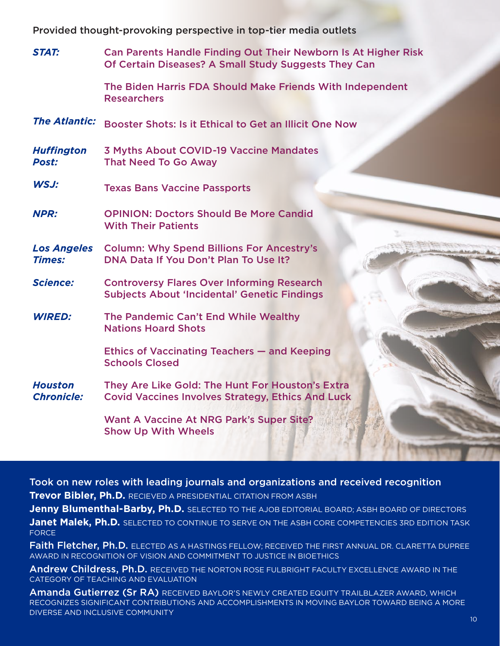Provided thought-provoking perspective in top-tier media outlets

| <b>STAT:</b>                        | Can Parents Handle Finding Out Their Newborn Is At Higher Risk<br>Of Certain Diseases? A Small Study Suggests They Can |  |  |
|-------------------------------------|------------------------------------------------------------------------------------------------------------------------|--|--|
|                                     | The Biden Harris FDA Should Make Friends With Independent<br><b>Researchers</b>                                        |  |  |
| <b>The Atlantic:</b>                | Booster Shots: Is it Ethical to Get an Illicit One Now                                                                 |  |  |
| <b>Huffington</b><br><b>Post:</b>   | <b>3 Myths About COVID-19 Vaccine Mandates</b><br><b>That Need To Go Away</b>                                          |  |  |
| WSJ:                                | <b>Texas Bans Vaccine Passports</b>                                                                                    |  |  |
| <b>NPR:</b>                         | <b>OPINION: Doctors Should Be More Candid</b><br><b>With Their Patients</b>                                            |  |  |
| <b>Los Angeles</b><br><b>Times:</b> | <b>Column: Why Spend Billions For Ancestry's</b><br>DNA Data If You Don't Plan To Use It?                              |  |  |
| <b>Science:</b>                     | <b>Controversy Flares Over Informing Research</b><br><b>Subjects About 'Incidental' Genetic Findings</b>               |  |  |
| <b>WIRED:</b>                       | The Pandemic Can't End While Wealthy<br><b>Nations Hoard Shots</b>                                                     |  |  |
|                                     | Ethics of Vaccinating Teachers – and Keeping<br><b>Schools Closed</b>                                                  |  |  |
| <b>Houston</b><br><b>Chronicle:</b> | They Are Like Gold: The Hunt For Houston's Extra<br><b>Covid Vaccines Involves Strategy, Ethics And Luck</b>           |  |  |
|                                     | Want A Vaccine At NRG Park's Super Site?<br><b>Show Up With Wheels</b>                                                 |  |  |

Took on new roles with leading journals and organizations and received recognition

**Trevor Bibler, Ph.D.** RECIEVED A PRESIDENTIAL CITATION FROM ASBH

**Jenny Blumenthal-Barby, Ph.D.** SELECTED TO THE AJOB EDITORIAL BOARD; ASBH BOARD OF DIRECTORS

**Janet Malek, Ph.D.** SELECTED TO CONTINUE TO SERVE ON THE ASBH CORE COMPETENCIES 3RD EDITION TASK FORCE

**Faith Fletcher, Ph.D.** ELECTED AS A HASTINGS FELLOW; RECEIVED THE FIRST ANNUAL DR. CLARETTA DUPREE AWARD IN RECOGNITION OF VISION AND COMMITMENT TO JUSTICE IN BIOETHICS

Andrew Childress, Ph.D. RECEIVED THE NORTON ROSE FULBRIGHT FACULTY EXCELLENCE AWARD IN THE CATEGORY OF TEACHING AND EVALUATION

Amanda Gutierrez (Sr RA) RECEIVED BAYLOR'S NEWLY CREATED EQUITY TRAILBLAZER AWARD, WHICH RECOGNIZES SIGNIFICANT CONTRIBUTIONS AND ACCOMPLISHMENTS IN MOVING BAYLOR TOWARD BEING A MORE DIVERSE AND INCLUSIVE COMMUNITY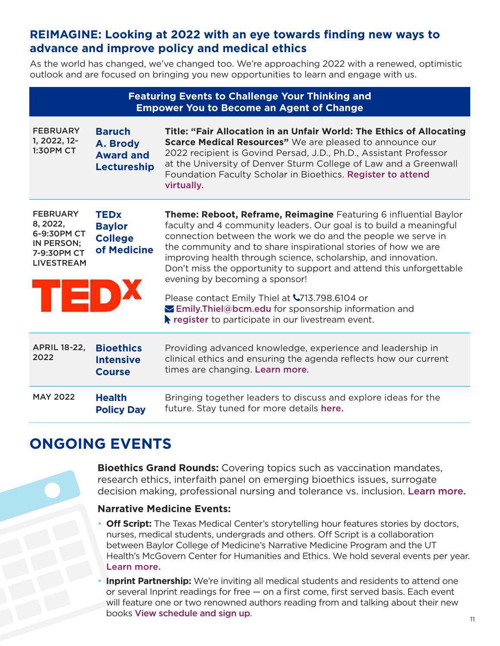### **REIMAGINE: Looking at 2022 with an eye towards finding new ways to advance and improve policy and medical ethics**

As the world has changed, we've changed too. We're approaching 2022 with a renewed, optimistic outlook and are focused on bringing you new opportunities to learn and engage with us.

| <b>Featuring Events to Challenge Your Thinking and</b><br><b>Empower You to Become an Agent of Change</b> |                                                               |                                                                                                                                                                                                                                                                                                                                                                                                                                                                                                                                                                                                                                           |  |  |  |
|-----------------------------------------------------------------------------------------------------------|---------------------------------------------------------------|-------------------------------------------------------------------------------------------------------------------------------------------------------------------------------------------------------------------------------------------------------------------------------------------------------------------------------------------------------------------------------------------------------------------------------------------------------------------------------------------------------------------------------------------------------------------------------------------------------------------------------------------|--|--|--|
| <b>FEBRUARY</b><br>1, 2022, 12-<br><b>1:30PM CT</b>                                                       | <b>Baruch</b><br>A. Brody<br><b>Award and</b><br>Lectureship  | Title: "Fair Allocation in an Unfair World: The Ethics of Allocating<br><b>Scarce Medical Resources"</b> We are pleased to announce our<br>2022 recipient is Govind Persad, J.D., Ph.D., Assistant Professor<br>at the University of Denver Sturm College of Law and a Greenwall<br>Foundation Faculty Scholar in Bioethics. Register to attend<br>virtually.                                                                                                                                                                                                                                                                             |  |  |  |
| <b>FEBRUARY</b><br>8, 2022,<br>6-9:30PM CT<br>IN PERSON;<br>7-9:30PM CT<br><b>LIVESTREAM</b><br>TEDX      | <b>TEDx</b><br><b>Baylor</b><br><b>College</b><br>of Medicine | <b>Theme: Reboot, Reframe, Reimagine</b> Featuring 6 influential Baylor<br>faculty and 4 community leaders. Our goal is to build a meaningful<br>connection between the work we do and the people we serve in<br>the community and to share inspirational stories of how we are<br>improving health through science, scholarship, and innovation.<br>Don't miss the opportunity to support and attend this unforgettable<br>evening by becoming a sponsor!<br>Please contact Emily Thiel at 1713.798.6104 or<br>$\triangleright$ Emily. Thiel@bcm.edu for sponsorship information and<br>register to participate in our livestream event. |  |  |  |
| <b>APRIL 18-22,</b><br>2022                                                                               | <b>Bioethics</b><br><b>Intensive</b><br><b>Course</b>         | Providing advanced knowledge, experience and leadership in<br>clinical ethics and ensuring the agenda reflects how our current<br>times are changing. Learn more.                                                                                                                                                                                                                                                                                                                                                                                                                                                                         |  |  |  |
| <b>MAY 2022</b>                                                                                           | <b>Health</b><br><b>Policy Day</b>                            | Bringing together leaders to discuss and explore ideas for the<br>future. Stay tuned for more details here.                                                                                                                                                                                                                                                                                                                                                                                                                                                                                                                               |  |  |  |

# **ONGOING EVENTS**

**Bioethics Grand Rounds:** Covering topics such as vaccination mandates, research ethics, interfaith panel on emerging bioethics issues, surrogate decision making, professional nursing and tolerance vs. inclusion. [Learn more](https://www.bcm.edu/academic-centers/medical-ethics-and-health-policy/education/grand-rounds)[.](https://www.bcm.edu/academic-centers/medical-ethics-and-health-policy/community-events/tedxbaylorcollegeofmedicine)

#### **Narrative Medicine Events:**

- **Off Script:** The Texas Medical Center's storytelling hour features stories by doctors, nurses, medical students, undergrads and others. Off Script is a collaboration between Baylor College of Medicine's Narrative Medicine Program and the UT Health's McGovern Center for Humanities and Ethics. We hold several events per year. [Learn more.](https://www.bcm.edu/academic-centers/medical-ethics-and-health-policy/community-events/narrative-medicine)
- **Inprint Partnership:** We're inviting all medical students and residents to attend one or several Inprint readings for free — on a first come, first served basis. Each event will feature one or two renowned authors reading from and talking about their new books [View schedule and sign up](https://www.signupgenius.com/go/10c0c45a4af2fa0fece9-narrative).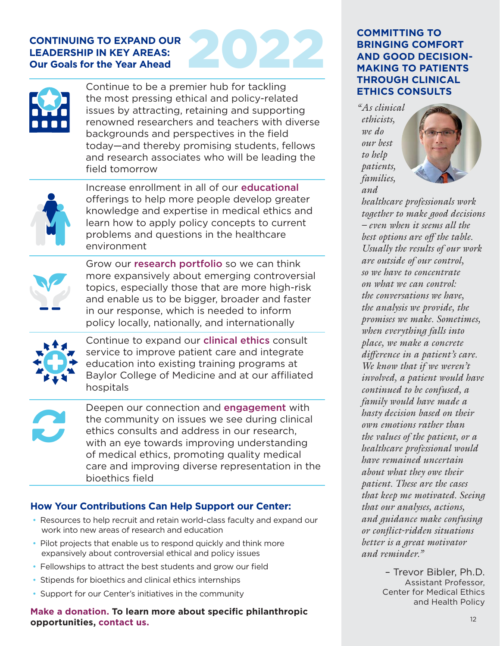#### **CONTINUING TO EXPAND OUR LEADERSHIP IN KEY AREAS: Our Goals for the Year Ahead**



Continue to be a premier hub for tackling the most pressing ethical and policy-related issues by attracting, retaining and supporting renowned researchers and teachers with diverse backgrounds and perspectives in the field today—and thereby promising students, fellows and research associates who will be leading the field tomorrow

2022



Increase enrollment in all of our [educational](https://www.bcm.edu/academic-centers/medical-ethics-and-health-policy/education) offerings to help more people develop greater knowledge and expertise in medical ethics and learn how to apply policy concepts to current problems and questions in the healthcare environment



Grow our [research](https://www.bcm.edu/academic-centers/medical-ethics-and-health-policy/research) portfolio so we can think more expansively about emerging controversial topics, especially those that are more high-risk and enable us to be bigger, broader and faster in our response, which is needed to inform policy locally, nationally, and internationally



Continue to expand our [clinical ethics](https://www.bcm.edu/academic-centers/medical-ethics-and-health-policy/clinical-ethics) consult service to improve patient care and integrate education into existing training programs at Baylor College of Medicine and at our affiliated hospitals



Deepen our connection and **[engagement](https://www.bcm.edu/academic-centers/medical-ethics-and-health-policy/community-events)** with<br>the community on issues we see during clinical<br>ethics consults and address in our research,<br>with an eye towards improving understanding the community on issues we see during clinical ethics consults and address in our research, with an eye towards improving understanding of medical ethics, promoting quality medical care and improving diverse representation in the bioethics field

#### **How Your Contributions Can Help Support our Center:**

- Resources to help recruit and retain world-class faculty and expand our work into new areas of research and education
- Pilot projects that enable us to respond quickly and think more expansively about controversial ethical and policy issues
- Fellowships to attract the best students and grow our field
- Stipends for bioethics and clinical ethics internships
- Support for our Center's initiatives in the community

**[Make a donation.](https://secure.givebmf.org/site/Donation2;jsessionid=00000000.app20121b?idb=0&1602.donation=form1&df_id=1602&mfc_pref=T&AddInterest=1063&NONCE_TOKEN=6852E17A2C86EC7B8792BC78717A70FC)) To learn more about specific philanthropic opportunities, [contact us.](mailto:Clarice.Jacobson%40bcm.edu?subject=)**

#### **COMMITTING TO BRINGING COMFORT AND GOOD DECISION-MAKING TO PATIENTS THROUGH CLINICAL ETHICS CONSULTS**

*"As clinical ethicists, we do our best to help patients, families, and* 



*healthcare professionals work together to make good decisions – even when it seems all the best options are off the table. Usually the results of our work are outside of our control, so we have to concentrate on what we can control: the conversations we have, the analysis we provide, the promises we make. Sometimes, when everything falls into place, we make a concrete difference in a patient's care. We know that if we weren't involved, a patient would have continued to be confused, a family would have made a hasty decision based on their own emotions rather than the values of the patient, or a healthcare professional would have remained uncertain about what they owe their patient. These are the cases that keep me motivated. Seeing that our analyses, actions, and guidance make confusing or conflict-ridden situations better is a great motivator and reminder."* 

> – Trevor Bibler, Ph.D. Assistant Professor, Center for Medical Ethics and Health Policy